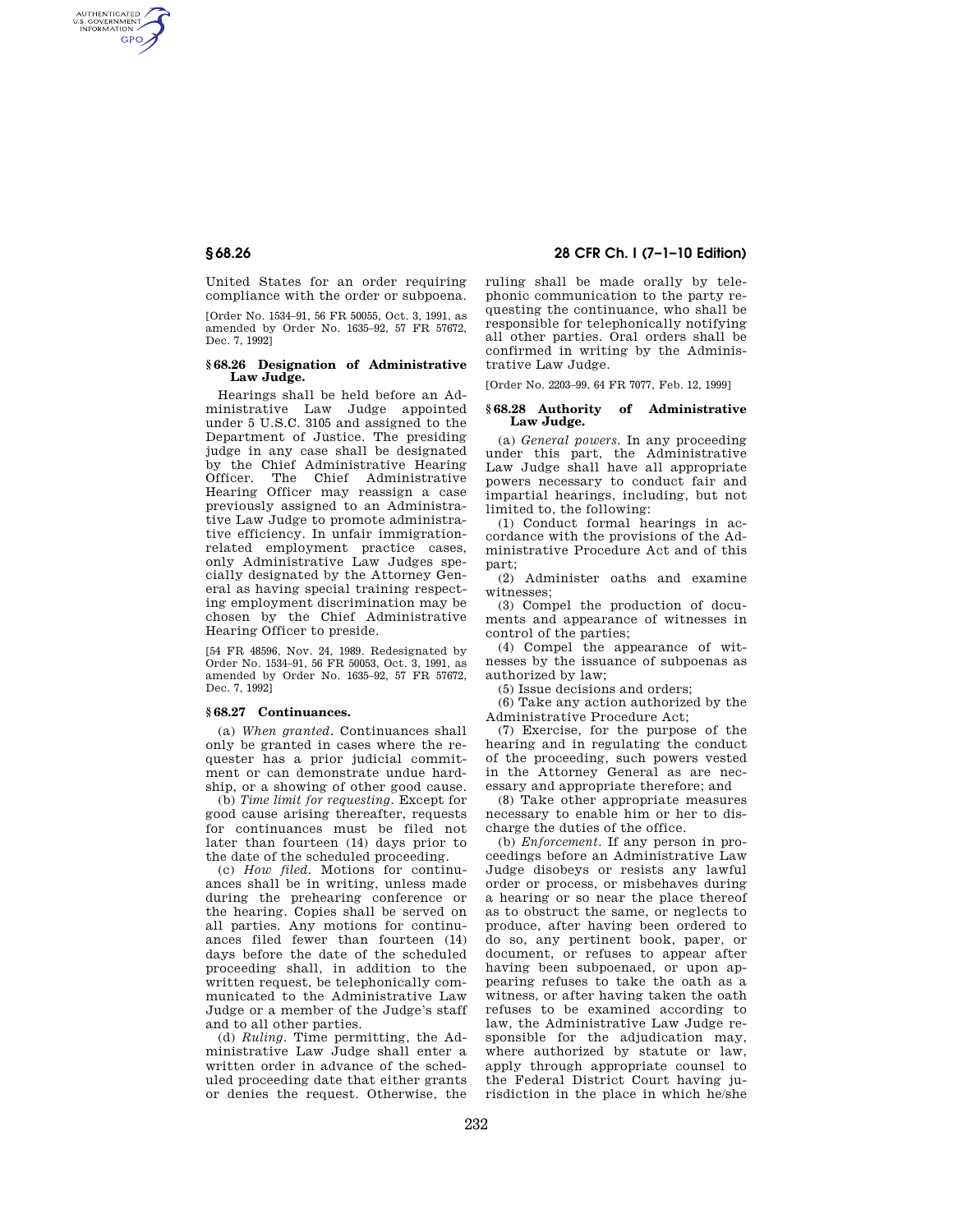AUTHENTICATED<br>U.S. GOVERNMENT<br>INFORMATION **GPO** 

> United States for an order requiring compliance with the order or subpoena.

> [Order No. 1534–91, 56 FR 50055, Oct. 3, 1991, as amended by Order No. 1635–92, 57 FR 57672, Dec. 7, 1992]

### **§ 68.26 Designation of Administrative Law Judge.**

Hearings shall be held before an Administrative Law Judge appointed under 5 U.S.C. 3105 and assigned to the Department of Justice. The presiding judge in any case shall be designated by the Chief Administrative Hearing Officer. The Chief Administrative Hearing Officer may reassign a case previously assigned to an Administrative Law Judge to promote administrative efficiency. In unfair immigrationrelated employment practice cases, only Administrative Law Judges specially designated by the Attorney General as having special training respecting employment discrimination may be chosen by the Chief Administrative Hearing Officer to preside.

[54 FR 48596, Nov. 24, 1989. Redesignated by Order No. 1534–91, 56 FR 50053, Oct. 3, 1991, as amended by Order No. 1635–92, 57 FR 57672, Dec. 7, 1992]

## **§ 68.27 Continuances.**

(a) *When granted.* Continuances shall only be granted in cases where the requester has a prior judicial commitment or can demonstrate undue hardship, or a showing of other good cause.

(b) *Time limit for requesting.* Except for good cause arising thereafter, requests for continuances must be filed not later than fourteen (14) days prior to the date of the scheduled proceeding.

(c) *How filed.* Motions for continuances shall be in writing, unless made during the prehearing conference or the hearing. Copies shall be served on all parties. Any motions for continuances filed fewer than fourteen (14) days before the date of the scheduled proceeding shall, in addition to the written request, be telephonically communicated to the Administrative Law Judge or a member of the Judge's staff and to all other parties.

(d) *Ruling.* Time permitting, the Administrative Law Judge shall enter a written order in advance of the scheduled proceeding date that either grants or denies the request. Otherwise, the

# **§ 68.26 28 CFR Ch. I (7–1–10 Edition)**

ruling shall be made orally by telephonic communication to the party requesting the continuance, who shall be responsible for telephonically notifying all other parties. Oral orders shall be confirmed in writing by the Administrative Law Judge.

[Order No. 2203–99, 64 FR 7077, Feb. 12, 1999]

#### **§ 68.28 Authority of Administrative Law Judge.**

(a) *General powers.* In any proceeding under this part, the Administrative Law Judge shall have all appropriate powers necessary to conduct fair and impartial hearings, including, but not limited to, the following:

(1) Conduct formal hearings in accordance with the provisions of the Administrative Procedure Act and of this part;

(2) Administer oaths and examine witnesses;

(3) Compel the production of documents and appearance of witnesses in control of the parties;

(4) Compel the appearance of witnesses by the issuance of subpoenas as authorized by law;

(5) Issue decisions and orders;

(6) Take any action authorized by the Administrative Procedure Act;

(7) Exercise, for the purpose of the hearing and in regulating the conduct of the proceeding, such powers vested in the Attorney General as are necessary and appropriate therefore; and

(8) Take other appropriate measures necessary to enable him or her to discharge the duties of the office.

(b) *Enforcement.* If any person in proceedings before an Administrative Law Judge disobeys or resists any lawful order or process, or misbehaves during a hearing or so near the place thereof as to obstruct the same, or neglects to produce, after having been ordered to do so, any pertinent book, paper, or document, or refuses to appear after having been subpoenaed, or upon appearing refuses to take the oath as a witness, or after having taken the oath refuses to be examined according to law, the Administrative Law Judge responsible for the adjudication may, where authorized by statute or law, apply through appropriate counsel to the Federal District Court having jurisdiction in the place in which he/she